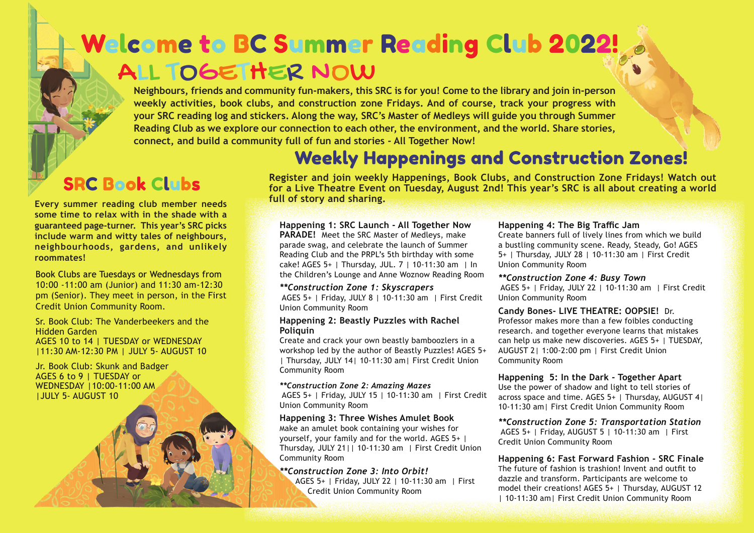## ALL TOGETHER NOW Welcome to BC Summer Reading Club 2022!

**Neighbours, friends and community fun-makers, this SRC is for you! Come to the library and join in-person weekly activities, book clubs, and construction zone Fridays. And of course, track your progress with your SRC reading log and stickers. Along the way, SRC's Master of Medleys will guide you through Summer Reading Club as we explore our connection to each other, the environment, and the world. Share stories, connect, and build a community full of fun and stories - All Together Now!**

### Weekly Happenings and Construction Zones!

### SRC Book Clubs

**full of story and sharing. Every summer reading club member needs some time to relax with in the shade with a guaranteed page-turner. This year's SRC picks include warm and witty tales of neighbours, neighbourhoods, gardens, and unlikely roommates!** 

#### Book Clubs are Tuesdays or Wednesdays from

10:00 -11:00 am (Junior) and 11:30 am-12:30 pm (Senior). They meet in person, in the First Credit Union Community Room.

Sr. Book Club: The Vanderbeekers and the Hidden Garden AGES 10 to 14 | TUESDAY or WEDNESDAY |11:30 AM-12:30 PM | JULY 5- AUGUST 10

Jr. Book Club: Skunk and Badger AGES 6 to 9 | TUESDAY or WEDNESDAY |10:00-11:00 AM |JULY 5- AUGUST 10

**Register and join weekly Happenings, Book Clubs, and Construction Zone Fridays! Watch out for a Live Theatre Event on Tuesday, August 2nd! This year's SRC is all about creating a world** 

#### **Happening 1: SRC Launch - All Together Now PARADE!** Meet the SRC Master of Medleys, make parade swag, and celebrate the launch of Summer Reading Club and the PRPL's 5th birthday with some cake! AGES 5+ | Thursday, JUL. 7 | 10-11:30 am | In the Children's Lounge and Anne Woznow Reading Room

*\*\*Construction Zone 1: Skyscrapers*

 AGES 5+ | Friday, JULY 8 | 10-11:30 am | First Credit Union Community Room

#### **Happening 2: Beastly Puzzles with Rachel Poliquin**

Create and crack your own beastly bamboozlers in a workshop led by the author of Beastly Puzzles! AGES 5+ | Thursday, JULY 14| 10-11:30 am| First Credit Union Community Room

#### *\*\*Construction Zone 2: Amazing Mazes*

 AGES 5+ | Friday, JULY 15 | 10-11:30 am | First Credit Union Community Room

#### **Happening 3: Three Wishes Amulet Book**

Make an amulet book containing your wishes for yourself, your family and for the world. AGES 5+ | Thursday, JULY 21|| 10-11:30 am | First Credit Union Community Room

#### *\*\*Construction Zone 3: Into Orbit!*

 AGES 5+ | Friday, JULY 22 | 10-11:30 am | First Credit Union Community Room

#### **Happening 4: The Big Traffic Jam**

Create banners full of lively lines from which we build a bustling community scene. Ready, Steady, Go! AGES 5+ | Thursday, JULY 28 | 10-11:30 am | First Credit Union Community Room

#### *\*\*Construction Zone 4: Busy Town*

 AGES 5+ | Friday, JULY 22 | 10-11:30 am | First Credit Union Community Room

#### **Candy Bones- LIVE THEATRE: OOPSIE!** Dr.

Professor makes more than a few foibles conducting research. and together everyone learns that mistakes can help us make new discoveries. AGES 5+ | TUESDAY, AUGUST 2| 1:00-2:00 pm | First Credit Union Community Room

#### **Happening 5: In the Dark - Together Apart**

Use the power of shadow and light to tell stories of across space and time. AGES 5+ | Thursday, AUGUST 4| 10-11:30 am| First Credit Union Community Room

*\*\*Construction Zone 5: Transportation Station* AGES 5+ | Friday, AUGUST 5 | 10-11:30 am | First Credit Union Community Room

**Happening 6: Fast Forward Fashion - SRC Finale**  The future of fashion is trashion! Invent and outfit to dazzle and transform. Participants are welcome to model their creations! AGES 5+ | Thursday, AUGUST 12 | 10-11:30 am| First Credit Union Community Room